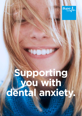

# **Supporting you with dental anxiety.**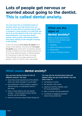## **Lots of people get nervous or worried about going to the dentist. This is called dental anxiety.**

You may have low or moderate levels of anxiety, where you feel anxious but can cope. Or your levels of anxiety may be high or extreme. If your anxiety is so bad that you don't go to the dentist at all, even when you need treatment, you may have dental phobia. Some people with dental phobia have panic attacks at the thought of going to the dentist.

In the UK, around **4 in every 10 adults** have a fear of the dentist. And around **1 in every 10 adults** have some form of extreme dental anxiety. Children can have dental anxiety too. If you have dental anxiety or dental phobia, it's important to get the help you need. That will help you to keep going to the dentist, which is vital for your oral health.

## **What are the signs of dental anxiety?**

Before a dental appointment, these are some possible signs of dental anxiety:

- $\blacksquare$  sweating
- a fast or pounding heartbeat
- $\blacksquare$  feeling faint
- $\blacksquare$  crying or feelings of panic

## **What causes dental anxiety?**

#### You can have dental anxiety for lots of different reasons. You may:

- $\blacksquare$  have had a bad experience at the dentist when you were younger or as an adult
- have listened to other people's negative dentist stories, or read about them in the news
- have a close relative who has dental anxiety – some research shows dental anxiety can be inherited
- $\blacksquare$  tend to be anxious about other things too

You may also be worried about what will happen when you go to the dentist. You may have a fear of:

- not being in control
- $\blacksquare$  the dentist's drill noises
- **n** injections and the needles used for local anaesthetics
- De injuries during treatments
- a choking or gagging sensation when having treatment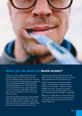

## **What can I do about my dental anxiety?**

When you make an appointment at your If you're unsure about anything, don't be dental surgery, tell the receptionist that afraid to ask. Your dentist can show you how you have dental anxiety. Ask to see a dentist the equipment works and reassure you. who has experience treating nervous patients. Before you have any treatment, agree a<br>Then, at the appointment, tell the dentist "Stop - I need a break" signal with your<br>and dental hygienist too. Think about why<br>you may fee

If the dental team knows how you're feeling,<br>they can make a special effort to help you<br>feel as comfortable and relaxed as possible.<br>They can talk you through your appointment<br>They can talk you through your appointment<br>The and answer any questions you may have.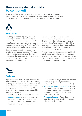## **How can my dental anxiety be controlled?**

If you're fnding it hard to manage your anxiety yourself, your dentist may suggest you try some treatments. They may be trained to give you these treatments themselves, or they may refer you to someone else.



#### **Relaxation**

Practising relaxation regularly can help to lower your stress levels and help you to cope when you feel anxious, this really helps to make any treatment or procedure more comfortable. You may find it helpful to try relaxation and mindfulness exercises.

Some relaxation practices include deep breathing and muscle relaxation. You can find a guided progressive muscle relaxation podcast on the Bupa website. There are also popular apps you can download to for relaxation and mindfulness.

Relaxation can also be coupled with something called systemic desensitisation. This involves talking about your fears and ordering them from least to most troubling. You're taught relaxation techniques and then gradually expose yourself to your fears to help you overcome them.

Another relaxation technique you could look into is called guided imagery. It encourages you to channel your attention and focus it on a happy image. This helps you to relax, which then makes you feel less anxious.



#### **Sedation**

If your dental anxiety is bad, your dentist may offer you sedation. This can ease your anxiety and help you relax. If you're sedated, you'll be awake and able to respond to your dentist during your procedure. But you won't be aware of what's happening and may not be able to remember it.

You can be sedated in several different ways.

**Sedative tablets.** Your doctor or dentist may prescribe a small dose of an oral sedative to take before your procedure. This is called oral pre-medication.

When you arrive for your dental treatment, you may be given a higher dose oral sedative (this is known as oral sedation).

- **Gas and air' (inhalation sedation).** During the procedure, you'll breathe in a mixture of nitrous oxide and oxygen through a mask over your nose. This will help you relax and ease any pain.
- A sedative injection. This will be done by your dentist, an anaesthetist or a doctor who is specially trained.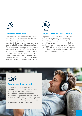

#### **General anaesthesia**

Most dentists don't recommend a general anaesthetic for routine dental treatments. They'll only recommend a general anaesthetic if you have very bad anxiety or a dental phobia and can't have sedation. To have a dental procedure under a general anaesthetic, they may refer you to the oral surgery department of your local hospital. General anaesthesia is carried out by a trained anaesthetist. You'll be asleep and unable to respond during your procedure. You won't remember it when you wake up.



#### **Cognitive behavioural therapy**

Cognitive behavioural therapy (CBT) is a type of talking therapy or counselling. It could help you to control negative thoughts and feelings about going to the dentist and change how you react. You can have CBT with a therapist, or try self-guided CBT using books, websites or apps – ask your doctor for recommendations.



#### **Complementary therapies**

Complementary therapies aren't considered part of conventional medicine. But they may be used alongside conventional treatments for certain conditions. Acupuncture may be used to help treat dental anxiety. Some people find aromatherapy – inhaling certain essential oils, such as lavender – helps too.

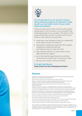

Try and seek help if you are worried or anxious about visiting the dentist as it's important to keep up with your oral health checks for your overall health and wellbeing.

There are many aids to help overcome your dental phobia and it's very common, so you shouldn't feel embarrassed about your situation. The advice in this quide should help you find a solution and if you're short on time, here are my quick tips:

- write down your feelings to help you understand more clearly what you're afraid of
- $\blacksquare$  download a mindfulness app that offers guided meditations, breathing exercises and relaxing music to clear the mind
- take a family member, or close friend, to your appointment for support
- go to their dentist appointment as watching someone else could be key to facing your fears
- $\blacksquare$  discuss any concerns with your dentist

#### Dr Shaila Patel-Buxton Bupa Dental Anxiety Management Expert

#### **Sources**

Appukuttan DP. Strategies to manage patients with dental anxiety and dental phobia: literature review. Clin Cosmet Investig Dent 2016; 8:35-50.

Dental phobia. Anxiety UK. [www.anxietyuk.org.uk,](www.anxietyuk.org.uk) accessed April 2021 Beaton L, Freeman R, Humphris G. Why are people afraid of the dentist? Observations and

explanations. Med Princ Pract. 2014;23(4):295-301. doi:10.1159/000357223

2009 Adult Dental Health Survey. NHS/The Health and Social Care Information Centre. Published March 2011

Heidari, E., Banerjee, A. & Newton, J. Oral health status of non-phobic and dentally phobic individuals; a secondary analysis of the 2009 Adult Dental Health Survey. Br Dent J 2019, E9 (2015) Top ten tips for beating dental phobia. Anxiety UK.<www.anxietyuk.org.uk>, published August 2019 Appukuttan DP. Strategies to manage patients with dental anxiety and dental phobia: literature

review. Clin Cosmet Investig Dent. 2016;8:35-50. Published 2016 Mar 10. doi:10.2147/CCIDE.S63626 My fear of the dentist. Oral Health Foundation. [www.dentalhealth.org,](www.dentalhealth.org) accessed April 2021 Cognitive and behavioural therapies. Patient. patient.info, last reviewed April 2014

Premedication. Patient. patient.info, last reviewed August 2019

You and your anaesthetic. Royal College of Anaesthetists. [www.rcoa.ac.uk,](www.rcoa.ac.uk) published February 2020 Patient FAQs. Royal College of Anaesthetists.<www.rcoa.ac.uk>, accessed April 2021 Complementary and alternative medicine. Patient. patient.info, reviewed February 2016

This information was published by Bupa's Health Content Team and is based on reputable sources of medical evidence. It has been reviewed by Dr Shaila Patel-Buxton – Dentist. The information is not intended nor implied to be a substitute for professional medical advice nor is it intended to be for medical diagnosis or treatment. Published May 2021.